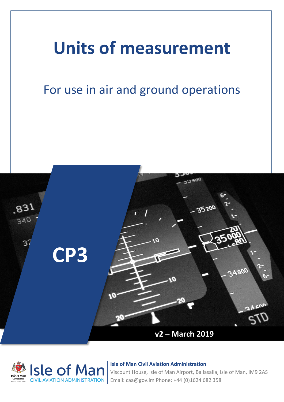# **Units of measurement**

# For use in air and ground operations





#### **Isle of Man Civil Aviation Administration**

Viscount House, Isle of Man Airport, Ballasalla, Isle of Man, IM9 2AS Email: caa@gov.im Phone: +44 (0)1624 682 358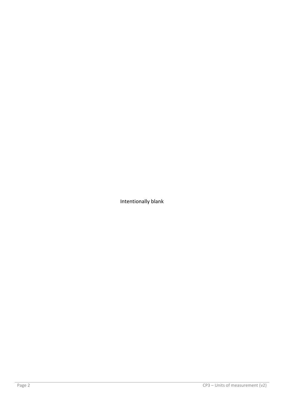Intentionally blank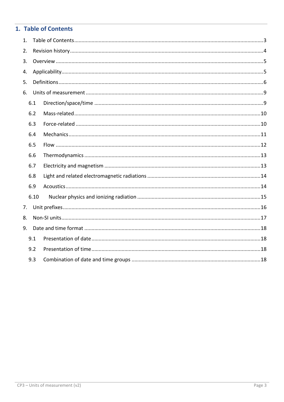#### <span id="page-2-0"></span>1. Table of Contents

| 1. |      |  |  |  |  |
|----|------|--|--|--|--|
| 2. |      |  |  |  |  |
| 3. |      |  |  |  |  |
| 4. |      |  |  |  |  |
| 5. |      |  |  |  |  |
| 6. |      |  |  |  |  |
|    | 6.1  |  |  |  |  |
|    | 6.2  |  |  |  |  |
|    | 6.3  |  |  |  |  |
|    | 6.4  |  |  |  |  |
|    | 6.5  |  |  |  |  |
|    | 6.6  |  |  |  |  |
|    | 6.7  |  |  |  |  |
|    | 6.8  |  |  |  |  |
|    | 6.9  |  |  |  |  |
|    | 6.10 |  |  |  |  |
| 7. |      |  |  |  |  |
| 8. |      |  |  |  |  |
| 9. |      |  |  |  |  |
|    | 9.1  |  |  |  |  |
|    | 9.2  |  |  |  |  |
|    | 9.3  |  |  |  |  |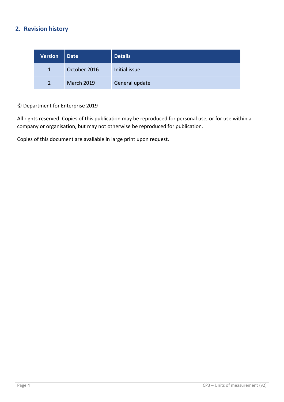#### <span id="page-3-0"></span>**2. Revision history**

| <b>Version</b> | <b>Date</b>       | <b>Details</b> |
|----------------|-------------------|----------------|
| $\mathbf{1}$   | October 2016      | Initial issue  |
| $\mathcal{P}$  | <b>March 2019</b> | General update |

#### © Department for Enterprise 2019

All rights reserved. Copies of this publication may be reproduced for personal use, or for use within a company or organisation, but may not otherwise be reproduced for publication.

Copies of this document are available in large print upon request.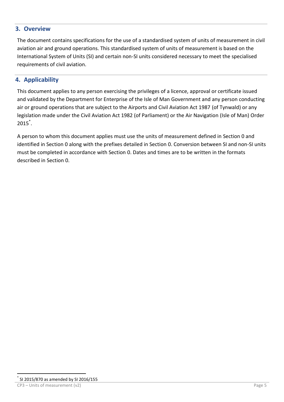#### <span id="page-4-0"></span>**3. Overview**

The document contains specifications for the use of a standardised system of units of measurement in civil aviation air and ground operations. This standardised system of units of measurement is based on the International System of Units (SI) and certain non-SI units considered necessary to meet the specialised requirements of civil aviation.

#### <span id="page-4-1"></span>**4. Applicability**

This document applies to any person exercising the privileges of a licence, approval or certificate issued and validated by the Department for Enterprise of the Isle of Man Government and any person conducting air or ground operations that are subject to the Airports and Civil Aviation Act 1987 (of Tynwald) or any legislation made under the Civil Aviation Act 1982 (of Parliament) or the Air Navigation (Isle of Man) Order 2015\* .

A person to whom this document applies must use the units of measurement defined in Section [0](#page-4-2) and identified in Section [0](#page-7-0) along with the prefixes detailed in Section [0.](#page-14-1) Conversion between SI and non-SI units must be completed in accordance with Section [0.](#page-15-1) Dates and times are to be written in the formats described in Section [0.](#page-16-1)

<span id="page-4-2"></span><sup>-</sup>\* SI 2015/870 as amended by SI 2016/155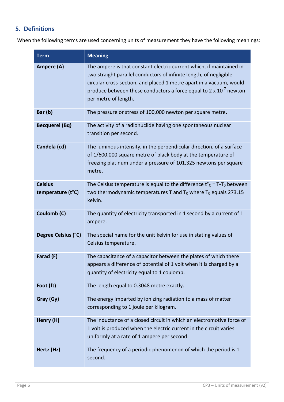# <span id="page-5-0"></span>**5. Definitions**

When the following terms are used concerning units of measurement they have the following meanings:

| <b>Term</b>                         | <b>Meaning</b>                                                                                                                                                                                                                                                                                                           |  |
|-------------------------------------|--------------------------------------------------------------------------------------------------------------------------------------------------------------------------------------------------------------------------------------------------------------------------------------------------------------------------|--|
| Ampere (A)                          | The ampere is that constant electric current which, if maintained in<br>two straight parallel conductors of infinite length, of negligible<br>circular cross-section, and placed 1 metre apart in a vacuum, would<br>produce between these conductors a force equal to $2 \times 10^{-7}$ newton<br>per metre of length. |  |
| Bar (b)                             | The pressure or stress of 100,000 newton per square metre.                                                                                                                                                                                                                                                               |  |
| <b>Becquerel (Bq)</b>               | The activity of a radionuclide having one spontaneous nuclear<br>transition per second.                                                                                                                                                                                                                                  |  |
| Candela (cd)                        | The luminous intensity, in the perpendicular direction, of a surface<br>of 1/600,000 square metre of black body at the temperature of<br>freezing platinum under a pressure of 101,325 newtons per square<br>metre.                                                                                                      |  |
| <b>Celsius</b><br>temperature (t°C) | The Celsius temperature is equal to the difference $t^{\circ}$ <sub>C</sub> = T-T <sub>0</sub> between<br>two thermodynamic temperatures T and $T_0$ where $T_0$ equals 273.15<br>kelvin.                                                                                                                                |  |
| Coulomb (C)                         | The quantity of electricity transported in 1 second by a current of 1<br>ampere.                                                                                                                                                                                                                                         |  |
| Degree Celsius (°C)                 | The special name for the unit kelvin for use in stating values of<br>Celsius temperature.                                                                                                                                                                                                                                |  |
| Farad (F)                           | The capacitance of a capacitor between the plates of which there<br>appears a difference of potential of 1 volt when it is charged by a<br>quantity of electricity equal to 1 coulomb.                                                                                                                                   |  |
| Foot (ft)                           | The length equal to 0.3048 metre exactly.                                                                                                                                                                                                                                                                                |  |
| Gray (Gy)                           | The energy imparted by ionizing radiation to a mass of matter<br>corresponding to 1 joule per kilogram.                                                                                                                                                                                                                  |  |
| Henry (H)                           | The inductance of a closed circuit in which an electromotive force of<br>1 volt is produced when the electric current in the circuit varies<br>uniformly at a rate of 1 ampere per second.                                                                                                                               |  |
| Hertz (Hz)                          | The frequency of a periodic phenomenon of which the period is 1<br>second.                                                                                                                                                                                                                                               |  |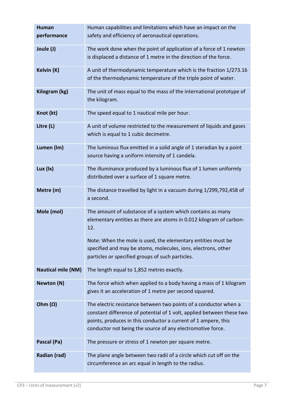| <b>Human</b><br>Human capabilities and limitations which have an impact on the |                                                                                                                                                                                                                                                                           |  |
|--------------------------------------------------------------------------------|---------------------------------------------------------------------------------------------------------------------------------------------------------------------------------------------------------------------------------------------------------------------------|--|
| performance                                                                    | safety and efficiency of aeronautical operations.                                                                                                                                                                                                                         |  |
| Joule (J)                                                                      | The work done when the point of application of a force of 1 newton                                                                                                                                                                                                        |  |
|                                                                                | is displaced a distance of 1 metre in the direction of the force.                                                                                                                                                                                                         |  |
| Kelvin (K)                                                                     | A unit of thermodynamic temperature which is the fraction 1/273.16<br>of the thermodynamic temperature of the triple point of water.                                                                                                                                      |  |
| Kilogram (kg)                                                                  | The unit of mass equal to the mass of the international prototype of<br>the kilogram.                                                                                                                                                                                     |  |
| Knot (kt)                                                                      | The speed equal to 1 nautical mile per hour.                                                                                                                                                                                                                              |  |
| Litre (L)                                                                      | A unit of volume restricted to the measurement of liquids and gases<br>which is equal to 1 cubic decimetre.                                                                                                                                                               |  |
| Lumen (Im)                                                                     | The luminous flux emitted in a solid angle of 1 steradian by a point<br>source having a uniform intensity of 1 candela.                                                                                                                                                   |  |
| Lux (lx)                                                                       | The illuminance produced by a luminous flux of 1 lumen uniformly<br>distributed over a surface of 1 square metre.                                                                                                                                                         |  |
| Metre (m)                                                                      | The distance travelled by light in a vacuum during 1/299,792,458 of<br>a second.                                                                                                                                                                                          |  |
| Mole (mol)                                                                     | The amount of substance of a system which contains as many<br>elementary entities as there are atoms in 0.012 kilogram of carbon-<br>12.                                                                                                                                  |  |
|                                                                                | Note: When the mole is used, the elementary entities must be<br>specified and may be atoms, molecules, ions, electrons, other<br>particles or specified groups of such particles.                                                                                         |  |
| <b>Nautical mile (NM)</b>                                                      | The length equal to 1,852 metres exactly.                                                                                                                                                                                                                                 |  |
| <b>Newton (N)</b>                                                              | The force which when applied to a body having a mass of 1 kilogram<br>gives it an acceleration of 1 metre per second squared.                                                                                                                                             |  |
| Ohm $(\Omega)$                                                                 | The electric resistance between two points of a conductor when a<br>constant difference of potential of 1 volt, applied between these two<br>points, produces in this conductor a current of 1 ampere, this<br>conductor not being the source of any electromotive force. |  |
| Pascal (Pa)                                                                    | The pressure or stress of 1 newton per square metre.                                                                                                                                                                                                                      |  |
| Radian (rad)                                                                   | The plane angle between two radii of a circle which cut off on the<br>circumference an arc equal in length to the radius.                                                                                                                                                 |  |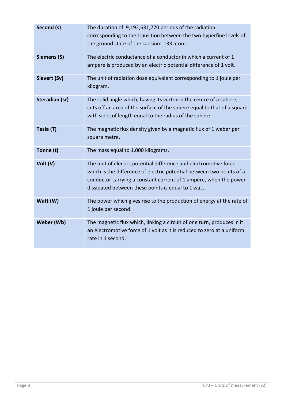<span id="page-7-0"></span>

| Second (s)     | The duration of 9,192,631,770 periods of the radiation<br>corresponding to the transition between the two hyperfine levels of<br>the ground state of the caesium-133 atom.                                                                                             |  |
|----------------|------------------------------------------------------------------------------------------------------------------------------------------------------------------------------------------------------------------------------------------------------------------------|--|
| Siemens (S)    | The electric conductance of a conductor in which a current of 1<br>ampere is produced by an electric potential difference of 1 volt.                                                                                                                                   |  |
| Sievert (Sv)   | The unit of radiation dose equivalent corresponding to 1 joule per<br>kilogram.                                                                                                                                                                                        |  |
| Steradian (sr) | The solid angle which, having its vertex in the centre of a sphere,<br>cuts off an area of the surface of the sphere equal to that of a square<br>with sides of length equal to the radius of the sphere.                                                              |  |
| Tesla (T)      | The magnetic flux density given by a magnetic flux of 1 weber per<br>square metre.                                                                                                                                                                                     |  |
| Tonne (t)      | The mass equal to 1,000 kilograms.                                                                                                                                                                                                                                     |  |
| Volt (V)       | The unit of electric potential difference and electromotive force<br>which is the difference of electric potential between two points of a<br>conductor carrying a constant current of 1 ampere, when the power<br>dissipated between these points is equal to 1 watt. |  |
| Watt (W)       | The power which gives rise to the production of energy at the rate of<br>1 joule per second.                                                                                                                                                                           |  |
| Weber (Wb)     | The magnetic flux which, linking a circuit of one turn, produces in it<br>an electromotive force of 1 volt as it is reduced to zero at a uniform<br>rate in 1 second.                                                                                                  |  |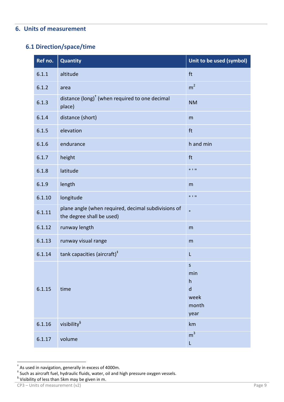#### <span id="page-8-0"></span>**6. Units of measurement**

# <span id="page-8-1"></span>**6.1 Direction/space/time**

| Ref no. | <b>Quantity</b>                                                                  | Unit to be used (symbol)                                |
|---------|----------------------------------------------------------------------------------|---------------------------------------------------------|
| 6.1.1   | altitude                                                                         | ft                                                      |
| 6.1.2   | area                                                                             | m <sup>2</sup>                                          |
| 6.1.3   | distance (long) <sup>†</sup> (when required to one decimal<br>place)             | <b>NM</b>                                               |
| 6.1.4   | distance (short)                                                                 | m                                                       |
| 6.1.5   | elevation                                                                        | ft                                                      |
| 6.1.6   | endurance                                                                        | h and min                                               |
| 6.1.7   | height                                                                           | ft                                                      |
| 6.1.8   | latitude                                                                         | $0 + H$                                                 |
| 6.1.9   | length                                                                           | m                                                       |
| 6.1.10  | longitude                                                                        | $01$ II                                                 |
| 6.1.11  | plane angle (when required, decimal subdivisions of<br>the degree shall be used) | $\bullet$                                               |
| 6.1.12  | runway length                                                                    | m                                                       |
| 6.1.13  | runway visual range                                                              | m                                                       |
| 6.1.14  | tank capacities (aircraft) <sup>#</sup>                                          | L                                                       |
| 6.1.15  | time                                                                             | $\sf S$<br>min<br>h<br>$\sf d$<br>week<br>month<br>year |
| 6.1.16  | visibility <sup>§</sup>                                                          | km                                                      |
| 6.1.17  | volume                                                                           | m <sup>3</sup><br>L                                     |

 † As used in navigation, generally in excess of 4000m. ‡ Such as aircraft fuel, hydraulic fluids, water, oil and high pressure oxygen vessels.

<sup>§</sup> Visibility of less than 5km may be given in m.

CP3 – Units of measurement (v2) Page 9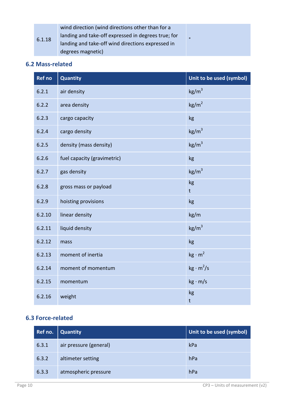|        | wind direction (wind directions other than for a    |  |
|--------|-----------------------------------------------------|--|
| 6.1.18 | landing and take-off expressed in degrees true; for |  |
|        | landing and take-off wind directions expressed in   |  |
|        | degrees magnetic)                                   |  |

#### <span id="page-9-0"></span>**6.2 Mass-related**

| Ref no | <b>Quantity</b>             | Unit to be used (symbol) |
|--------|-----------------------------|--------------------------|
| 6.2.1  | air density                 | $\text{kg/m}^3$          |
| 6.2.2  | area density                | $\text{kg/m}^2$          |
| 6.2.3  | cargo capacity              | kg                       |
| 6.2.4  | cargo density               | $\text{kg/m}^3$          |
| 6.2.5  | density (mass density)      | $\text{kg/m}^3$          |
| 6.2.6  | fuel capacity (gravimetric) | kg                       |
| 6.2.7  | gas density                 | $\text{kg/m}^3$          |
| 6.2.8  | gross mass or payload       | kg<br>$\mathsf{t}$       |
| 6.2.9  | hoisting provisions         | kg                       |
| 6.2.10 | linear density              | kg/m                     |
| 6.2.11 | liquid density              | $\text{kg/m}^3$          |
| 6.2.12 | mass                        | kg                       |
| 6.2.13 | moment of inertia           | $kg \cdot m^2$           |
| 6.2.14 | moment of momentum          | $kg \cdot m^2/s$         |
| 6.2.15 | momentum                    | $kg \cdot m/s$           |
| 6.2.16 | weight                      | kg<br>$\mathbf t$        |

### <span id="page-9-1"></span>**6.3 Force-related**

| Ref no. | <b>Quantity</b>        | Unit to be used (symbol) |
|---------|------------------------|--------------------------|
| 6.3.1   | air pressure (general) | kPa                      |
| 6.3.2   | altimeter setting      | hPa                      |
| 6.3.3   | atmospheric pressure   | hPa                      |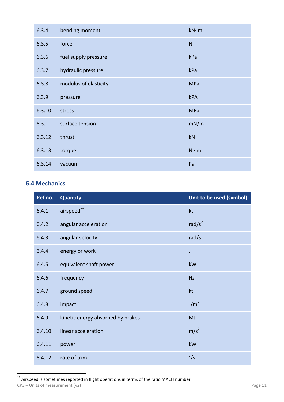| 6.3.4  | bending moment        | $kN \cdot m$ |
|--------|-----------------------|--------------|
| 6.3.5  | force                 | N            |
| 6.3.6  | fuel supply pressure  | kPa          |
| 6.3.7  | hydraulic pressure    | kPa          |
| 6.3.8  | modulus of elasticity | <b>MPa</b>   |
| 6.3.9  | pressure              | kPA          |
| 6.3.10 | stress                | <b>MPa</b>   |
| 6.3.11 | surface tension       | mN/m         |
| 6.3.12 | thrust                | kN           |
| 6.3.13 | torque                | $N \cdot m$  |
| 6.3.14 | vacuum                | Pa           |

#### <span id="page-10-0"></span>**6.4 Mechanics**

| Ref no. | <b>Quantity</b>                   | Unit to be used (symbol) |
|---------|-----------------------------------|--------------------------|
| 6.4.1   | airspeed**                        | kt                       |
| 6.4.2   | angular acceleration              | rad/ $s^2$               |
| 6.4.3   | angular velocity                  | rad/s                    |
| 6.4.4   | energy or work                    | $\mathsf{J}$             |
| 6.4.5   | equivalent shaft power            | kW                       |
| 6.4.6   | frequency                         | Hz                       |
| 6.4.7   | ground speed                      | kt                       |
| 6.4.8   | impact                            | J/m <sup>2</sup>         |
| 6.4.9   | kinetic energy absorbed by brakes | MJ                       |
| 6.4.10  | linear acceleration               | m/s <sup>2</sup>         |
| 6.4.11  | power                             | kW                       |
| 6.4.12  | rate of trim                      | $\degree$ /s             |

\*\* Airspeed is sometimes reported in flight operations in terms of the ratio MACH number.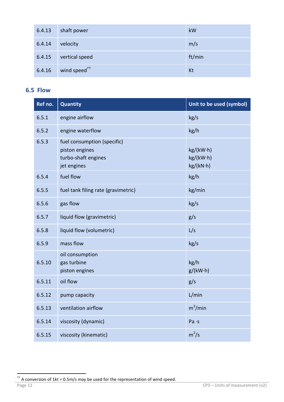| 6.4.13 | shaft power              | kW     |
|--------|--------------------------|--------|
| 6.4.14 | velocity                 | m/s    |
| 6.4.15 | vertical speed           | ft/min |
| 6.4.16 | wind speed <sup>**</sup> | Kt     |

#### <span id="page-11-0"></span>**6.5 Flow**

| Ref no. | <b>Quantity</b>                                                                     | Unit to be used (symbol)            |
|---------|-------------------------------------------------------------------------------------|-------------------------------------|
| 6.5.1   | engine airflow                                                                      | kg/s                                |
| 6.5.2   | engine waterflow                                                                    | kg/h                                |
| 6.5.3   | fuel consumption (specific)<br>piston engines<br>turbo-shaft engines<br>jet engines | kg/(kW·h)<br>kg/(kW·h)<br>kg/(kN·h) |
| 6.5.4   | fuel flow                                                                           | kg/h                                |
| 6.5.5   | fuel tank filing rate (gravimetric)                                                 | kg/min                              |
| 6.5.6   | gas flow                                                                            | kg/s                                |
| 6.5.7   | liquid flow (gravimetric)                                                           | g/s                                 |
| 6.5.8   | liquid flow (volumetric)                                                            | L/s                                 |
| 6.5.9   | mass flow                                                                           | kg/s                                |
| 6.5.10  | oil consumption<br>gas turbine<br>piston engines                                    | kg/h<br>g/(kW·h)                    |
| 6.5.11  | oil flow                                                                            | g/s                                 |
| 6.5.12  | pump capacity                                                                       | L/min                               |
| 6.5.13  | ventilation airflow                                                                 | $m^3/m$ in                          |
| 6.5.14  | viscosity (dynamic)                                                                 | Pa·s                                |
| 6.5.15  | viscosity (kinematic)                                                               | $m^2/s$                             |

 $^{++}$  A conversion of 1kt = 0.5m/s may be used for the representation of wind speed.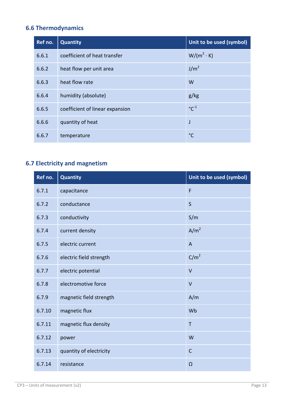# <span id="page-12-0"></span>**6.6 Thermodynamics**

| Ref no. | Quantity                        | Unit to be used (symbol) |
|---------|---------------------------------|--------------------------|
| 6.6.1   | coefficient of heat transfer    | $W/(m^2 \cdot K)$        |
| 6.6.2   | heat flow per unit area         | J/m <sup>2</sup>         |
| 6.6.3   | heat flow rate                  | W                        |
| 6.6.4   | humidity (absolute)             | g/kg                     |
| 6.6.5   | coefficient of linear expansion | $\mathrm{C}^{-1}$        |
| 6.6.6   | quantity of heat                | J                        |
| 6.6.7   | temperature                     | $^{\circ}$ C             |

# <span id="page-12-1"></span>**6.7 Electricity and magnetism**

| Ref no. | Quantity                | Unit to be used (symbol) |
|---------|-------------------------|--------------------------|
| 6.7.1   | capacitance             | F                        |
| 6.7.2   | conductance             | S                        |
| 6.7.3   | conductivity            | S/m                      |
| 6.7.4   | current density         | A/m <sup>2</sup>         |
| 6.7.5   | electric current        | A                        |
| 6.7.6   | electric field strength | C/m <sup>2</sup>         |
| 6.7.7   | electric potential      | $\vee$                   |
| 6.7.8   | electromotive force     | $\vee$                   |
| 6.7.9   | magnetic field strength | A/m                      |
| 6.7.10  | magnetic flux           | Wb                       |
| 6.7.11  | magnetic flux density   | T                        |
| 6.7.12  | power                   | W                        |
| 6.7.13  | quantity of electricity | $\mathsf{C}$             |
| 6.7.14  | resistance              | $\Omega$                 |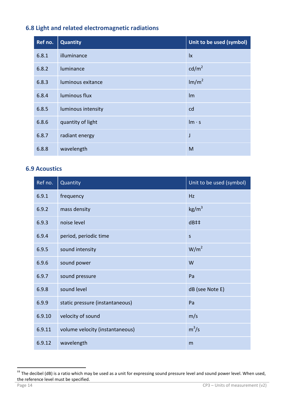# <span id="page-13-0"></span>**6.8 Light and related electromagnetic radiations**

| Ref no. | <b>Quantity</b>    | Unit to be used (symbol) |
|---------|--------------------|--------------------------|
| 6.8.1   | illuminance        | $\mathsf{I}\mathsf{x}$   |
| 6.8.2   | luminance          | cd/m <sup>2</sup>        |
| 6.8.3   | luminous exitance  | Im/m <sup>2</sup>        |
| 6.8.4   | luminous flux      | Im                       |
| 6.8.5   | luminous intensity | cd                       |
| 6.8.6   | quantity of light  | $Im \cdot s$             |
| 6.8.7   | radiant energy     | J                        |
| 6.8.8   | wavelength         | M                        |

#### <span id="page-13-1"></span>**6.9 Acoustics**

| Ref no. | Quantity                        | Unit to be used (symbol) |
|---------|---------------------------------|--------------------------|
| 6.9.1   | frequency                       | Hz                       |
| 6.9.2   | mass density                    | $\text{kg/m}^3$          |
| 6.9.3   | noise level                     | $dB$ ##                  |
| 6.9.4   | period, periodic time           | S                        |
| 6.9.5   | sound intensity                 | W/m <sup>2</sup>         |
| 6.9.6   | sound power                     | W                        |
| 6.9.7   | sound pressure                  | Pa                       |
| 6.9.8   | sound level                     | dB (see Note E)          |
| 6.9.9   | static pressure (instantaneous) | Pa                       |
| 6.9.10  | velocity of sound               | m/s                      |
| 6.9.11  | volume velocity (instantaneous) | $m^3/s$                  |
| 6.9.12  | wavelength                      | m                        |

<sup>&</sup>lt;sup>##</sup> The decibel (dB) is a ratio which may be used as a unit for expressing sound pressure level and sound power level. When used, the reference level must be specified.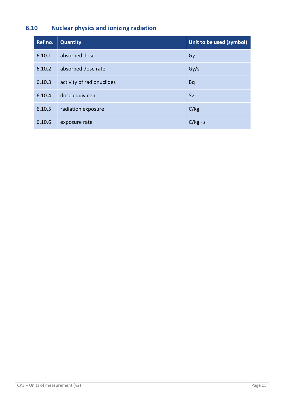# <span id="page-14-0"></span>**6.10 Nuclear physics and ionizing radiation**

<span id="page-14-1"></span>

| Ref no. | <b>Quantity</b>           | Unit to be used (symbol) |
|---------|---------------------------|--------------------------|
| 6.10.1  | absorbed dose             | Gy                       |
| 6.10.2  | absorbed dose rate        | Gy/s                     |
| 6.10.3  | activity of radionuclides | <b>Bq</b>                |
| 6.10.4  | dose equivalent           | Sv                       |
| 6.10.5  | radiation exposure        | C/kg                     |
| 6.10.6  | exposure rate             | $C/kg \cdot s$           |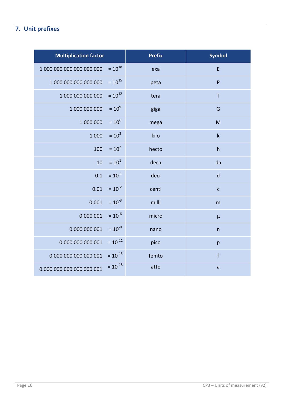# <span id="page-15-0"></span>**7. Unit prefixes**

<span id="page-15-1"></span>

| <b>Multiplication factor</b> |              | <b>Prefix</b> | <b>Symbol</b> |
|------------------------------|--------------|---------------|---------------|
| 1 000 000 000 000 000 000    | $= 10^{18}$  | exa           | $\mathsf E$   |
| 1 000 000 000 000 000        | $= 10^{15}$  | peta          | $\mathsf{P}$  |
| 1 000 000 000 000            | $= 10^{12}$  | tera          | $\mathsf T$   |
| 1 000 000 000                | $= 10^{9}$   | giga          | G             |
| 1 000 000                    | $= 10^{6}$   | mega          | M             |
| 1 0 0 0                      | $= 10^{3}$   | kilo          | $\mathsf k$   |
| 100                          | $= 10^2$     | hecto         | h             |
| 10                           | $= 10^1$     | deca          | da            |
| 0.1                          | $= 10^{-1}$  | deci          | $\mathsf{d}$  |
| 0.01                         | $= 10^{-2}$  | centi         | $\mathsf{C}$  |
| 0.001                        | $= 10^{-3}$  | milli         | m             |
| 0.000 001                    | $= 10^{-6}$  | micro         | $\mu$         |
| 0.000 000 001                | $= 10^{-9}$  | nano          | $\mathsf{n}$  |
| 0.000 000 000 001            | $= 10^{-12}$ | pico          | p             |
| 0.000 000 000 000 001        | $= 10^{-15}$ | femto         | $\mathsf{f}$  |
| 0.000 000 000 000 000 001    | $= 10^{-18}$ | atto          | $\mathsf{a}$  |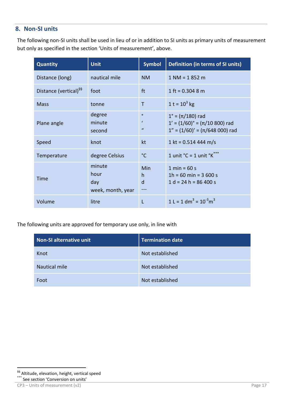#### <span id="page-16-0"></span>**8. Non-SI units**

The following non-SI units shall be used in lieu of or in addition to SI units as primary units of measurement but only as specified in the section 'Units of measurement', above.

| <b>Quantity</b>                   | <b>Unit</b>                                | <b>Symbol</b>                           | Definition (in terms of SI units)                                                                    |
|-----------------------------------|--------------------------------------------|-----------------------------------------|------------------------------------------------------------------------------------------------------|
| Distance (long)                   | nautical mile                              | <b>NM</b>                               | $1$ NM = $1852$ m                                                                                    |
| Distance (vertical) <sup>§§</sup> | foot                                       | ft                                      | 1 ft = $0.3048$ m                                                                                    |
| <b>Mass</b>                       | tonne                                      | T                                       | 1 t = $10^3$ kg                                                                                      |
| Plane angle                       | degree<br>minute<br>second                 | $\bullet$<br>$\epsilon$<br>$\mathbf{u}$ | $1° = (\pi/180)$ rad<br>$1' = (1/60)$ ° = ( $\pi$ /10 800) rad<br>$1'' = (1/60)' = (\pi/648000)$ rad |
| Speed                             | knot                                       | kt                                      | 1 kt = $0.514$ 444 m/s                                                                               |
| Temperature                       | degree Celsius                             | $^{\circ}$ C                            | 1 unit $°C = 1$ unit $\kappa^{***}$                                                                  |
| Time                              | minute<br>hour<br>day<br>week, month, year | Min<br>h<br>d                           | $1 min = 60 s$<br>$1h = 60$ min = 3 600 s<br>$1 d = 24 h = 86 400 s$                                 |
| Volume                            | litre                                      | L                                       | $1 L = 1 dm3 = 10-3 m3$                                                                              |

The following units are approved for temporary use only, in line with

| <b>Non-SI alternative unit</b> | <b>Termination date</b> |
|--------------------------------|-------------------------|
| Knot                           | Not established         |
| Nautical mile                  | Not established         |
| Foot                           | Not established         |

<span id="page-16-1"></span><sup>&</sup>lt;sup>§§</sup> Altitude, elevation, height, vertical speed \*\*\* See section 'Conversion on units'

CP3 – Units of measurement (v2) Page 17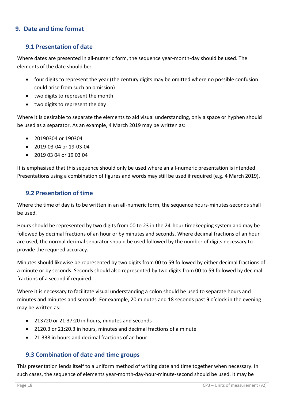#### <span id="page-17-1"></span><span id="page-17-0"></span>**9. Date and time format**

#### **9.1 Presentation of date**

Where dates are presented in all-numeric form, the sequence year-month-day should be used. The elements of the date should be:

- four digits to represent the year (the century digits may be omitted where no possible confusion could arise from such an omission)
- two digits to represent the month
- two digits to represent the day

Where it is desirable to separate the elements to aid visual understanding, only a space or hyphen should be used as a separator. As an example, 4 March 2019 may be written as:

- 20190304 or 190304
- 2019-03-04 or 19-03-04
- 2019 03 04 or 19 03 04

It is emphasised that this sequence should only be used where an all-numeric presentation is intended. Presentations using a combination of figures and words may still be used if required (e.g. 4 March 2019).

#### <span id="page-17-2"></span>**9.2 Presentation of time**

Where the time of day is to be written in an all-numeric form, the sequence hours-minutes-seconds shall be used.

Hours should be represented by two digits from 00 to 23 in the 24-hour timekeeping system and may be followed by decimal fractions of an hour or by minutes and seconds. Where decimal fractions of an hour are used, the normal decimal separator should be used followed by the number of digits necessary to provide the required accuracy.

Minutes should likewise be represented by two digits from 00 to 59 followed by either decimal fractions of a minute or by seconds. Seconds should also represented by two digits from 00 to 59 followed by decimal fractions of a second if required.

Where it is necessary to facilitate visual understanding a colon should be used to separate hours and minutes and minutes and seconds. For example, 20 minutes and 18 seconds past 9 o'clock in the evening may be written as:

- 213720 or 21:37:20 in hours, minutes and seconds
- 2120.3 or 21:20.3 in hours, minutes and decimal fractions of a minute
- 21.338 in hours and decimal fractions of an hour

#### <span id="page-17-3"></span>**9.3 Combination of date and time groups**

This presentation lends itself to a uniform method of writing date and time together when necessary. In such cases, the sequence of elements year-month-day-hour-minute-second should be used. It may be